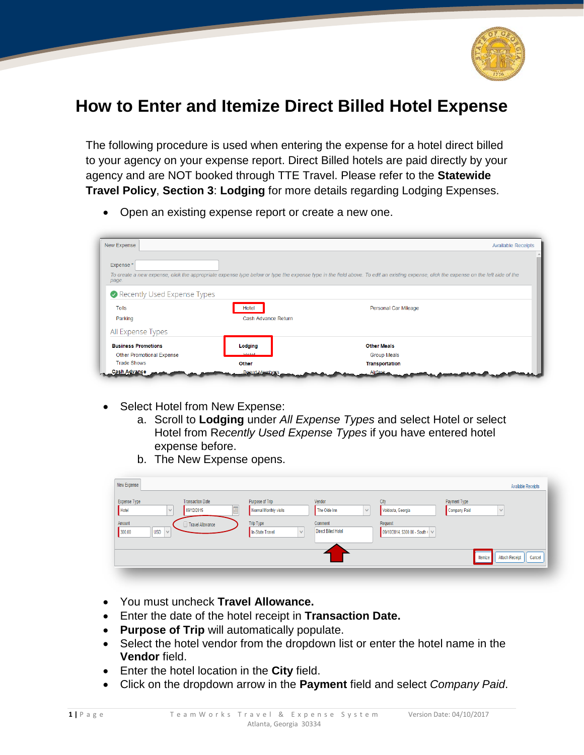

## **How to Enter and Itemize Direct Billed Hotel Expense**

The following procedure is used when entering the expense for a hotel direct billed to your agency on your expense report. Direct Billed hotels are paid directly by your agency and are NOT booked through TTE Travel. Please refer to the **Statewide Travel Policy**, **Section 3**: **Lodging** for more details regarding Lodging Expenses.

• Open an existing expense report or create a new one.

| New Expense                      |                     | <b>Available Receipts</b>                                                                                                                                                             |
|----------------------------------|---------------------|---------------------------------------------------------------------------------------------------------------------------------------------------------------------------------------|
| Expense "                        |                     |                                                                                                                                                                                       |
| page.                            |                     | To create a new expense, click the appropriate expense type below or type the expense type in the field above. To edit an existing expense, click the expense on the left side of the |
| Recently Used Expense Types      |                     |                                                                                                                                                                                       |
|                                  |                     |                                                                                                                                                                                       |
| <b>Tolls</b>                     | Hotel               | Personal Car Mileage                                                                                                                                                                  |
| Parking                          | Cash Advance Return |                                                                                                                                                                                       |
| All Expense Types                |                     |                                                                                                                                                                                       |
| <b>Business Promotions</b>       | Lodging             | <b>Other Meals</b>                                                                                                                                                                    |
| <b>Other Promotional Expense</b> | <b>Hotel</b>        | <b>Group Meals</b>                                                                                                                                                                    |
| <b>Trade Shows</b>               | Other               | <b>Transportation</b>                                                                                                                                                                 |

- Select Hotel from New Expense:
	- a. Scroll to **Lodging** under *All Expense Types* and select Hotel or select Hotel from R*ecently Used Expense Types* if you have entered hotel expense before.
	- b. The New Expense opens.

| New Expense                               |                         |                                                           |                                                                                 |        |                                                          |        |                                                                               |                              |              | <b>Available Receipts</b>       |
|-------------------------------------------|-------------------------|-----------------------------------------------------------|---------------------------------------------------------------------------------|--------|----------------------------------------------------------|--------|-------------------------------------------------------------------------------|------------------------------|--------------|---------------------------------|
| Expense Type<br>Hotel<br>Amount<br>300.00 | $\vee$<br>USD<br>$\vee$ | <b>Transaction Date</b><br>09/12/2015<br>Travel Allowance | Purpose of Trip<br>Normal Monthly visits<br><b>Trip Type</b><br>In-State Travel | $\vee$ | Vendor<br>The Olde Inn<br>Comment<br>Direct Billed Hotel | $\vee$ | City<br>Valdosta, Georgia<br>Request<br>09/10/2014, \$300.00 - South ( $\vee$ | Payment Type<br>Company Paid | $\checkmark$ |                                 |
|                                           |                         |                                                           |                                                                                 |        |                                                          |        |                                                                               |                              | Itemize      | <b>Attach Receipt</b><br>Cancel |

- You must uncheck **Travel Allowance.**
- Enter the date of the hotel receipt in **Transaction Date.**
- **Purpose of Trip** will automatically populate.
- Select the hotel vendor from the dropdown list or enter the hotel name in the **Vendor** field.
- Enter the hotel location in the **City** field.
- Click on the dropdown arrow in the **Payment** field and select *Company Paid*.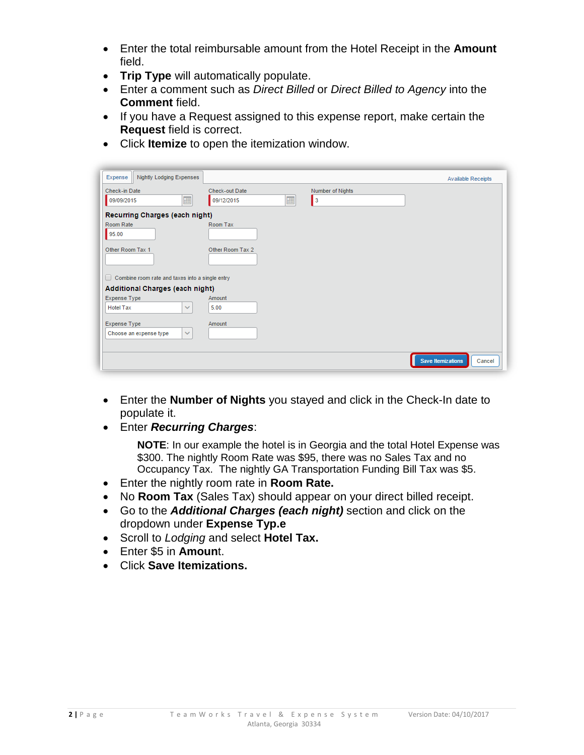- Enter the total reimbursable amount from the Hotel Receipt in the **Amount** field.
- **Trip Type** will automatically populate.
- Enter a comment such as *Direct Billed* or *Direct Billed to Agency* into the **Comment** field.
- If you have a Request assigned to this expense report, make certain the **Request** field is correct.
- Click **Itemize** to open the itemization window.

| Nightly Lodging Expenses<br>Expense                    |                                    | <b>Available Receipts</b>          |
|--------------------------------------------------------|------------------------------------|------------------------------------|
| <b>Check-in Date</b>                                   | Check-out Date<br>Number of Nights |                                    |
| E<br>09/09/2015                                        | E.<br>09/12/2015<br>l 3            |                                    |
| <b>Recurring Charges (each night)</b>                  |                                    |                                    |
| Room Rate                                              | Room Tax                           |                                    |
| 95.00                                                  |                                    |                                    |
| Other Room Tax 1                                       | Other Room Tax 2                   |                                    |
| $\Box$ Combine room rate and taxes into a single entry |                                    |                                    |
| <b>Additional Charges (each night)</b>                 |                                    |                                    |
| Expense Type                                           | Amount                             |                                    |
| <b>Hotel Tax</b><br>$\checkmark$                       | 5.00                               |                                    |
| Expense Type                                           | Amount                             |                                    |
| Choose an expense type<br>$\checkmark$                 |                                    |                                    |
|                                                        |                                    |                                    |
|                                                        |                                    | <b>Save Itemizations</b><br>Cancel |

- Enter the **Number of Nights** you stayed and click in the Check-In date to populate it.
- Enter *Recurring Charges*:

**NOTE**: In our example the hotel is in Georgia and the total Hotel Expense was \$300. The nightly Room Rate was \$95, there was no Sales Tax and no Occupancy Tax. The nightly GA Transportation Funding Bill Tax was \$5.

- Enter the nightly room rate in **Room Rate.**
- No **Room Tax** (Sales Tax) should appear on your direct billed receipt.
- Go to the *Additional Charges (each night)* section and click on the dropdown under **Expense Typ.e**
- Scroll to *Lodging* and select **Hotel Tax.**
- Enter \$5 in **Amoun**t.
- Click **Save Itemizations.**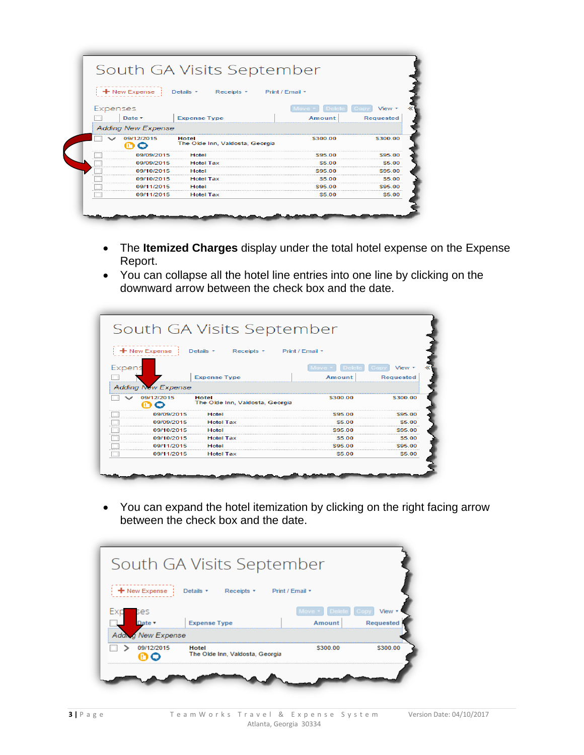|          |                           | South GA Visits September                |                 |                  |
|----------|---------------------------|------------------------------------------|-----------------|------------------|
|          | + New Expense             | Details <b>v</b> Receipts <b>v</b>       | Print / Email * |                  |
| Expenses |                           |                                          |                 | View *           |
|          | Date v                    | <b>Expense Type</b>                      | Amount          | <b>Requested</b> |
|          | <b>Adding New Expense</b> |                                          |                 |                  |
|          | 09/12/2015                | Hotel<br>The Olde Inn, Valdosta, Georgia | \$300.00        | \$300.00         |
|          | 09/09/2015                | Hotel                                    | 595 00          | \$95.00          |
|          | 09/09/2015                | <b>Hotel Tax</b>                         | \$5.00          | \$5.00           |
|          | 09/10/2015                | Hotel                                    | \$95.00         | \$95.00          |
|          | 09/10/2015                | <b>Hotel Tax</b>                         | S5.00           | \$5.00           |
|          | 09/11/2015                | Hotel                                    | \$95.00         | \$95.00          |
|          | 09/11/2015                | <b>Hotel Tax</b>                         | \$5.00          | \$5.00           |

- The **Itemized Charges** display under the total hotel expense on the Expense Report.
- You can collapse all the hotel line entries into one line by clicking on the downward arrow between the check box and the date.

|       |                           | South GA Visits September                |                 |                  |
|-------|---------------------------|------------------------------------------|-----------------|------------------|
|       | $+$ New Expense           | Details <b>v</b> Receipts <b>v</b>       | Print / Email * |                  |
| Expen |                           |                                          |                 | View :           |
|       |                           | <b>Expense Type</b>                      | Amount          | <b>Requested</b> |
|       | <b>Adding New Expense</b> |                                          |                 |                  |
|       | 09/12/2015                | Hotel<br>The Olde Inn, Valdosta, Georgia | \$300.00        | \$300.00         |
|       | 09/09/2015                | Hotel                                    | S95.00          | S95.00           |
|       | 09/09/2015                | <b>Hotel Tax</b>                         | \$5.00          | S5.00            |
|       | 09/10/2015                | Hotel                                    | \$95.00         | S95.00           |
|       | 09/10/2015                | <b>Hotel Tax</b>                         | \$5.00          | S5.00            |
|       | 09/11/2015                | Hotel                                    | \$95.00         | \$95.00          |
|       | 09/11/2015                | <b>Hotel Tax</b>                         | \$5.00          | \$5.00           |

• You can expand the hotel itemization by clicking on the right facing arrow between the check box and the date.

|         |               | South GA Visits September                            |          |                  |
|---------|---------------|------------------------------------------------------|----------|------------------|
|         |               | + New Expense   Details ▼ Receipts ▼ Print / Email ▼ |          |                  |
|         | ses           |                                                      | Delete   | View             |
| ------- | Date <b>v</b> | <b>Expense Type</b>                                  | Amount   | <b>Requested</b> |
|         | g New Expense |                                                      |          |                  |
|         | 09/12/2015    | Hotel<br>The Olde Inn, Valdosta, Georgia             | \$300.00 | \$300.00         |
|         |               |                                                      |          |                  |